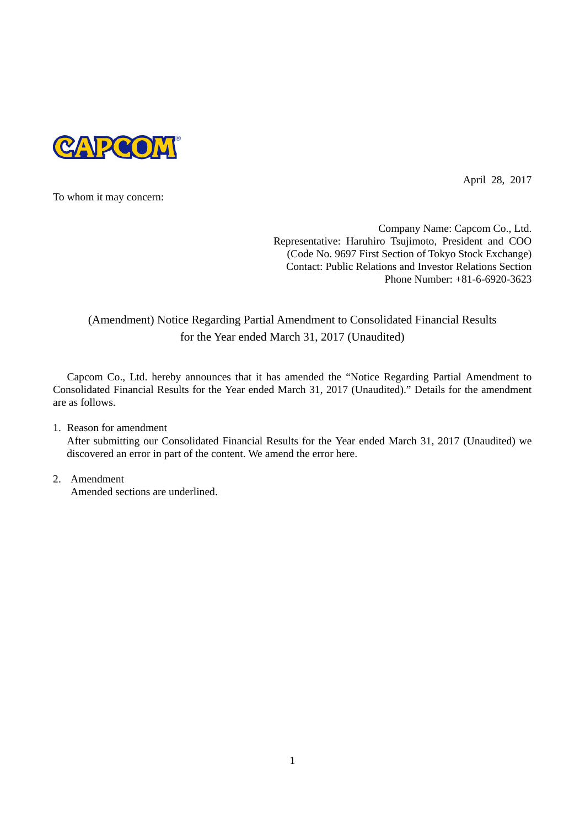

April 28, 2017

To whom it may concern:

Company Name: Capcom Co., Ltd. Representative: Haruhiro Tsujimoto, President and COO (Code No. 9697 First Section of Tokyo Stock Exchange) Contact: Public Relations and Investor Relations Section Phone Number: +81-6-6920-3623

## (Amendment) Notice Regarding Partial Amendment to Consolidated Financial Results for the Year ended March 31, 2017 (Unaudited)

Capcom Co., Ltd. hereby announces that it has amended the "Notice Regarding Partial Amendment to Consolidated Financial Results for the Year ended March 31, 2017 (Unaudited)." Details for the amendment are as follows.

1. Reason for amendment

After submitting our Consolidated Financial Results for the Year ended March 31, 2017 (Unaudited) we discovered an error in part of the content. We amend the error here.

2. Amendment Amended sections are underlined.